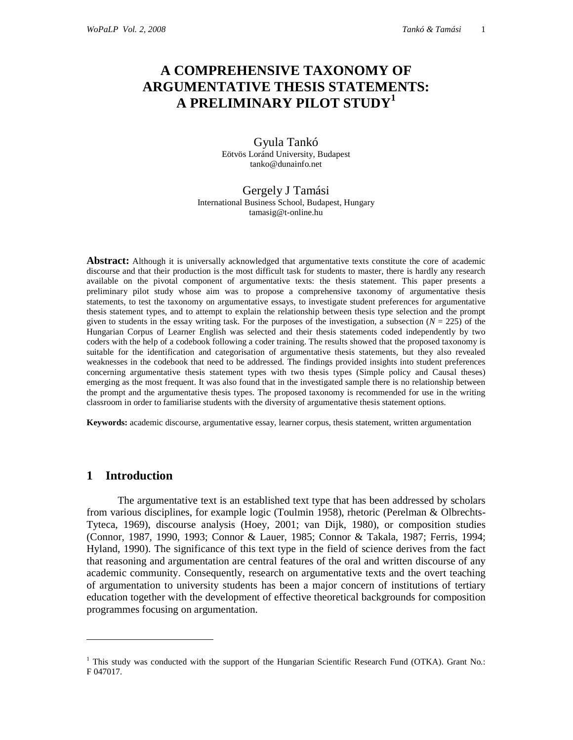# **A COMPREHENSIVE TAXONOMY OF ARGUMENTATIVE THESIS STATEMENTS: A PRELIMINARY PILOT STUDY<sup>1</sup>**

#### Gyula Tankó Eötvös Loránd University, Budapest tanko@dunainfo.net

#### Gergely J Tamási International Business School, Budapest, Hungary tamasig@t-online.hu

**Abstract:** Although it is universally acknowledged that argumentative texts constitute the core of academic discourse and that their production is the most difficult task for students to master, there is hardly any research available on the pivotal component of argumentative texts: the thesis statement. This paper presents a preliminary pilot study whose aim was to propose a comprehensive taxonomy of argumentative thesis statements, to test the taxonomy on argumentative essays, to investigate student preferences for argumentative thesis statement types, and to attempt to explain the relationship between thesis type selection and the prompt given to students in the essay writing task. For the purposes of the investigation, a subsection  $(N = 225)$  of the Hungarian Corpus of Learner English was selected and their thesis statements coded independently by two coders with the help of a codebook following a coder training. The results showed that the proposed taxonomy is suitable for the identification and categorisation of argumentative thesis statements, but they also revealed weaknesses in the codebook that need to be addressed. The findings provided insights into student preferences concerning argumentative thesis statement types with two thesis types (Simple policy and Causal theses) emerging as the most frequent. It was also found that in the investigated sample there is no relationship between the prompt and the argumentative thesis types. The proposed taxonomy is recommended for use in the writing classroom in order to familiarise students with the diversity of argumentative thesis statement options.

**Keywords:** academic discourse, argumentative essay, learner corpus, thesis statement, written argumentation

# **1 Introduction**

 $\overline{a}$ 

The argumentative text is an established text type that has been addressed by scholars from various disciplines, for example logic (Toulmin 1958), rhetoric (Perelman & Olbrechts-Tyteca, 1969), discourse analysis (Hoey, 2001; van Dijk, 1980), or composition studies (Connor, 1987, 1990, 1993; Connor & Lauer, 1985; Connor & Takala, 1987; Ferris, 1994; Hyland, 1990). The significance of this text type in the field of science derives from the fact that reasoning and argumentation are central features of the oral and written discourse of any academic community. Consequently, research on argumentative texts and the overt teaching of argumentation to university students has been a major concern of institutions of tertiary education together with the development of effective theoretical backgrounds for composition programmes focusing on argumentation.

<sup>&</sup>lt;sup>1</sup> This study was conducted with the support of the Hungarian Scientific Research Fund (OTKA). Grant No.: F 047017.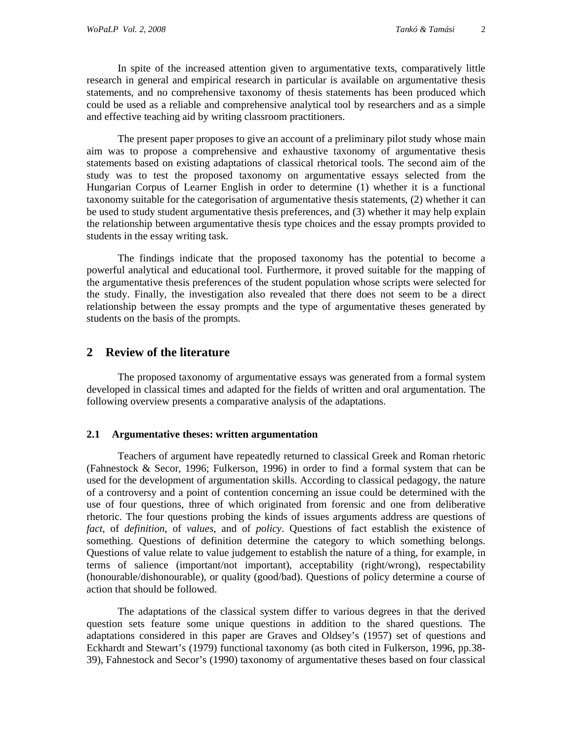In spite of the increased attention given to argumentative texts, comparatively little research in general and empirical research in particular is available on argumentative thesis statements, and no comprehensive taxonomy of thesis statements has been produced which could be used as a reliable and comprehensive analytical tool by researchers and as a simple and effective teaching aid by writing classroom practitioners.

 The present paper proposes to give an account of a preliminary pilot study whose main aim was to propose a comprehensive and exhaustive taxonomy of argumentative thesis statements based on existing adaptations of classical rhetorical tools. The second aim of the study was to test the proposed taxonomy on argumentative essays selected from the Hungarian Corpus of Learner English in order to determine (1) whether it is a functional taxonomy suitable for the categorisation of argumentative thesis statements, (2) whether it can be used to study student argumentative thesis preferences, and (3) whether it may help explain the relationship between argumentative thesis type choices and the essay prompts provided to students in the essay writing task.

 The findings indicate that the proposed taxonomy has the potential to become a powerful analytical and educational tool. Furthermore, it proved suitable for the mapping of the argumentative thesis preferences of the student population whose scripts were selected for the study. Finally, the investigation also revealed that there does not seem to be a direct relationship between the essay prompts and the type of argumentative theses generated by students on the basis of the prompts.

### **2 Review of the literature**

The proposed taxonomy of argumentative essays was generated from a formal system developed in classical times and adapted for the fields of written and oral argumentation. The following overview presents a comparative analysis of the adaptations.

#### **2.1 Argumentative theses: written argumentation**

 Teachers of argument have repeatedly returned to classical Greek and Roman rhetoric (Fahnestock & Secor, 1996; Fulkerson, 1996) in order to find a formal system that can be used for the development of argumentation skills. According to classical pedagogy, the nature of a controversy and a point of contention concerning an issue could be determined with the use of four questions, three of which originated from forensic and one from deliberative rhetoric. The four questions probing the kinds of issues arguments address are questions of *fact*, of *definition*, of *values*, and of *policy*. Questions of fact establish the existence of something. Questions of definition determine the category to which something belongs. Questions of value relate to value judgement to establish the nature of a thing, for example, in terms of salience (important/not important), acceptability (right/wrong), respectability (honourable/dishonourable), or quality (good/bad). Questions of policy determine a course of action that should be followed.

 The adaptations of the classical system differ to various degrees in that the derived question sets feature some unique questions in addition to the shared questions. The adaptations considered in this paper are Graves and Oldsey's (1957) set of questions and Eckhardt and Stewart's (1979) functional taxonomy (as both cited in Fulkerson, 1996, pp.38- 39), Fahnestock and Secor's (1990) taxonomy of argumentative theses based on four classical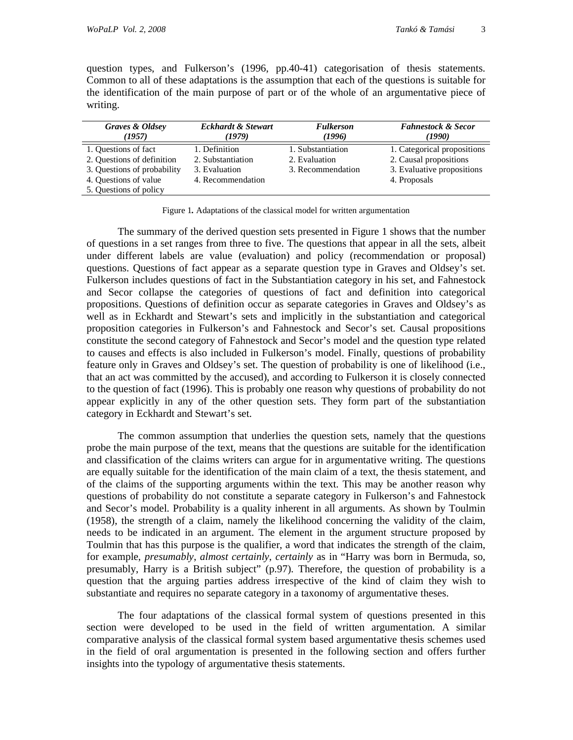question types, and Fulkerson's (1996, pp.40-41) categorisation of thesis statements. Common to all of these adaptations is the assumption that each of the questions is suitable for the identification of the main purpose of part or of the whole of an argumentative piece of writing.

| Graves & Oldsey<br>(1957)   | <b>Eckhardt &amp; Stewart</b><br>(1979) | <b>Fulkerson</b><br>(1996) | <b>Fahnestock &amp; Secor</b><br>(1990) |
|-----------------------------|-----------------------------------------|----------------------------|-----------------------------------------|
| 1. Questions of fact        | 1. Definition                           | 1. Substantiation          | 1. Categorical propositions             |
| 2. Questions of definition  | 2. Substantiation                       | 2. Evaluation              | 2. Causal propositions                  |
| 3. Questions of probability | 3. Evaluation                           | 3. Recommendation          | 3. Evaluative propositions              |
| 4. Questions of value       | 4. Recommendation                       |                            | 4. Proposals                            |
| 5. Questions of policy      |                                         |                            |                                         |

Figure 1*.* Adaptations of the classical model for written argumentation

 The summary of the derived question sets presented in Figure 1 shows that the number of questions in a set ranges from three to five. The questions that appear in all the sets, albeit under different labels are value (evaluation) and policy (recommendation or proposal) questions. Questions of fact appear as a separate question type in Graves and Oldsey's set. Fulkerson includes questions of fact in the Substantiation category in his set, and Fahnestock and Secor collapse the categories of questions of fact and definition into categorical propositions. Questions of definition occur as separate categories in Graves and Oldsey's as well as in Eckhardt and Stewart's sets and implicitly in the substantiation and categorical proposition categories in Fulkerson's and Fahnestock and Secor's set. Causal propositions constitute the second category of Fahnestock and Secor's model and the question type related to causes and effects is also included in Fulkerson's model. Finally, questions of probability feature only in Graves and Oldsey's set. The question of probability is one of likelihood (i.e., that an act was committed by the accused), and according to Fulkerson it is closely connected to the question of fact (1996). This is probably one reason why questions of probability do not appear explicitly in any of the other question sets. They form part of the substantiation category in Eckhardt and Stewart's set.

 The common assumption that underlies the question sets, namely that the questions probe the main purpose of the text, means that the questions are suitable for the identification and classification of the claims writers can argue for in argumentative writing. The questions are equally suitable for the identification of the main claim of a text, the thesis statement, and of the claims of the supporting arguments within the text. This may be another reason why questions of probability do not constitute a separate category in Fulkerson's and Fahnestock and Secor's model. Probability is a quality inherent in all arguments. As shown by Toulmin (1958), the strength of a claim, namely the likelihood concerning the validity of the claim, needs to be indicated in an argument. The element in the argument structure proposed by Toulmin that has this purpose is the qualifier, a word that indicates the strength of the claim, for example, *presumably*, *almost certainly*, *certainly* as in "Harry was born in Bermuda, so, presumably, Harry is a British subject" (p.97). Therefore, the question of probability is a question that the arguing parties address irrespective of the kind of claim they wish to substantiate and requires no separate category in a taxonomy of argumentative theses.

 The four adaptations of the classical formal system of questions presented in this section were developed to be used in the field of written argumentation. A similar comparative analysis of the classical formal system based argumentative thesis schemes used in the field of oral argumentation is presented in the following section and offers further insights into the typology of argumentative thesis statements.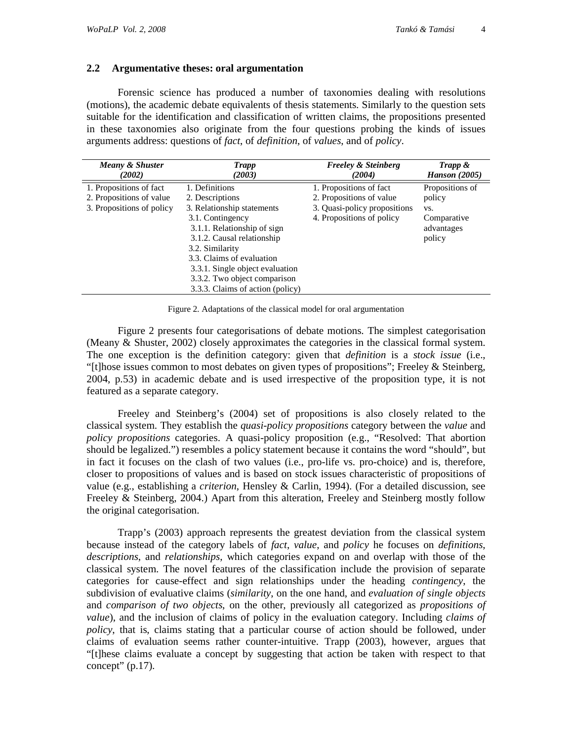#### **2.2 Argumentative theses: oral argumentation**

Forensic science has produced a number of taxonomies dealing with resolutions (motions), the academic debate equivalents of thesis statements. Similarly to the question sets suitable for the identification and classification of written claims, the propositions presented in these taxonomies also originate from the four questions probing the kinds of issues arguments address: questions of *fact*, of *definition*, of *values*, and of *policy*.

| Meany & Shuster                                                                  | <b>Trapp</b>                                                                                                                                                                                                                                                                                            | <b>Freeley &amp; Steinberg</b>                                                                                   | Trapp &                                                                 |
|----------------------------------------------------------------------------------|---------------------------------------------------------------------------------------------------------------------------------------------------------------------------------------------------------------------------------------------------------------------------------------------------------|------------------------------------------------------------------------------------------------------------------|-------------------------------------------------------------------------|
| (2002)                                                                           | (2003)                                                                                                                                                                                                                                                                                                  | (2004)                                                                                                           | <b>Hanson</b> (2005)                                                    |
| 1. Propositions of fact<br>2. Propositions of value<br>3. Propositions of policy | 1. Definitions<br>2. Descriptions<br>3. Relationship statements<br>3.1. Contingency<br>3.1.1. Relationship of sign<br>3.1.2. Causal relationship<br>3.2. Similarity<br>3.3. Claims of evaluation<br>3.3.1. Single object evaluation<br>3.3.2. Two object comparison<br>3.3.3. Claims of action (policy) | 1. Propositions of fact<br>2. Propositions of value<br>3. Quasi-policy propositions<br>4. Propositions of policy | Propositions of<br>policy<br>VS.<br>Comparative<br>advantages<br>policy |

Figure 2*.* Adaptations of the classical model for oral argumentation

 Figure 2 presents four categorisations of debate motions. The simplest categorisation (Meany & Shuster, 2002) closely approximates the categories in the classical formal system. The one exception is the definition category: given that *definition* is a *stock issue* (i.e., "[t]hose issues common to most debates on given types of propositions"; Freeley & Steinberg, 2004, p.53) in academic debate and is used irrespective of the proposition type, it is not featured as a separate category.

 Freeley and Steinberg's (2004) set of propositions is also closely related to the classical system. They establish the *quasi-policy propositions* category between the *value* and *policy propositions* categories. A quasi-policy proposition (e.g., "Resolved: That abortion should be legalized.") resembles a policy statement because it contains the word "should", but in fact it focuses on the clash of two values (i.e., pro-life vs. pro-choice) and is, therefore, closer to propositions of values and is based on stock issues characteristic of propositions of value (e.g., establishing a *criterion*, Hensley & Carlin, 1994). (For a detailed discussion, see Freeley & Steinberg, 2004.) Apart from this alteration, Freeley and Steinberg mostly follow the original categorisation.

 Trapp's (2003) approach represents the greatest deviation from the classical system because instead of the category labels of *fact*, *value*, and *policy* he focuses on *definitions*, *descriptions*, and *relationships*, which categories expand on and overlap with those of the classical system. The novel features of the classification include the provision of separate categories for cause-effect and sign relationships under the heading *contingency*, the subdivision of evaluative claims (*similarity*, on the one hand, and *evaluation of single objects* and *comparison of two objects*, on the other, previously all categorized as *propositions of value*), and the inclusion of claims of policy in the evaluation category. Including *claims of policy*, that is, claims stating that a particular course of action should be followed, under claims of evaluation seems rather counter-intuitive. Trapp (2003), however, argues that "[t]hese claims evaluate a concept by suggesting that action be taken with respect to that concept" (p.17).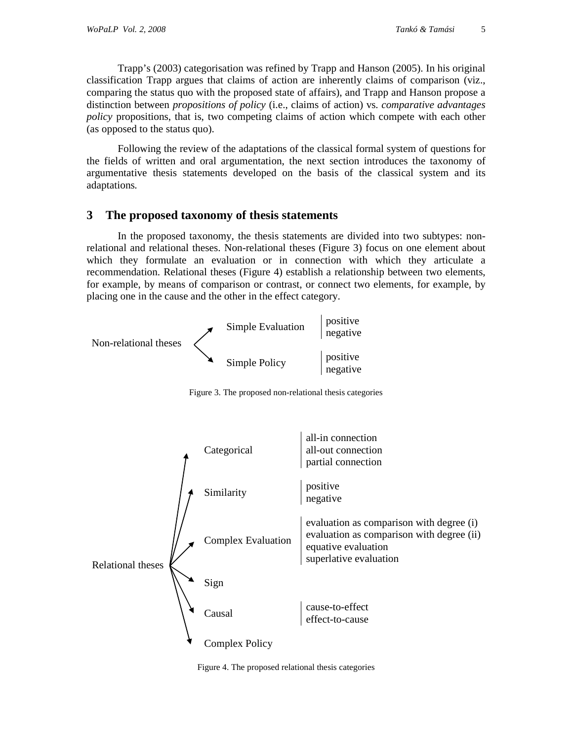Trapp's (2003) categorisation was refined by Trapp and Hanson (2005). In his original classification Trapp argues that claims of action are inherently claims of comparison (viz., comparing the status quo with the proposed state of affairs), and Trapp and Hanson propose a distinction between *propositions of policy* (i.e., claims of action) vs. *comparative advantages policy* propositions, that is, two competing claims of action which compete with each other (as opposed to the status quo).

 Following the review of the adaptations of the classical formal system of questions for the fields of written and oral argumentation, the next section introduces the taxonomy of argumentative thesis statements developed on the basis of the classical system and its adaptations.

# **3 The proposed taxonomy of thesis statements**

 In the proposed taxonomy, the thesis statements are divided into two subtypes: nonrelational and relational theses. Non-relational theses (Figure 3) focus on one element about which they formulate an evaluation or in connection with which they articulate a recommendation. Relational theses (Figure 4) establish a relationship between two elements, for example, by means of comparison or contrast, or connect two elements, for example, by placing one in the cause and the other in the effect category.



Figure 3. The proposed non-relational thesis categories



Figure 4. The proposed relational thesis categories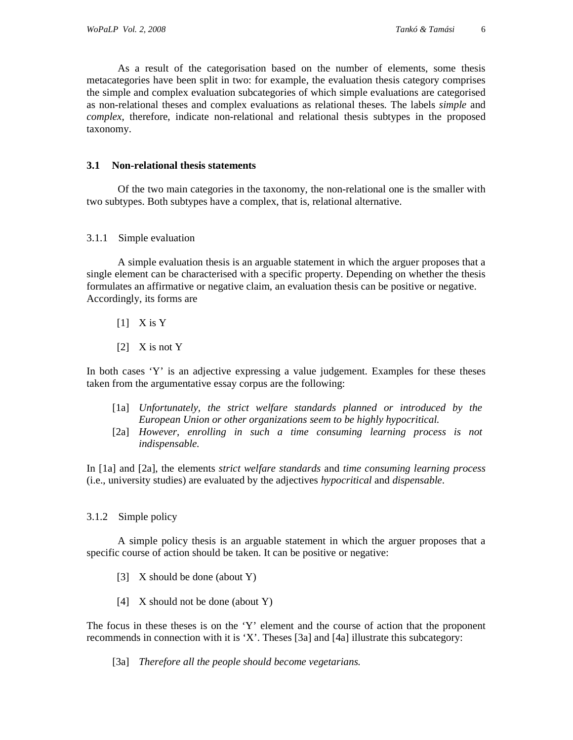As a result of the categorisation based on the number of elements, some thesis metacategories have been split in two: for example, the evaluation thesis category comprises the simple and complex evaluation subcategories of which simple evaluations are categorised as non-relational theses and complex evaluations as relational theses. The labels *simple* and *complex*, therefore, indicate non-relational and relational thesis subtypes in the proposed taxonomy.

### **3.1 Non-relational thesis statements**

Of the two main categories in the taxonomy, the non-relational one is the smaller with two subtypes. Both subtypes have a complex, that is, relational alternative.

### 3.1.1 Simple evaluation

 A simple evaluation thesis is an arguable statement in which the arguer proposes that a single element can be characterised with a specific property. Depending on whether the thesis formulates an affirmative or negative claim, an evaluation thesis can be positive or negative. Accordingly, its forms are

- $[1]$  X is Y
- [2] X is not Y

In both cases 'Y' is an adjective expressing a value judgement. Examples for these theses taken from the argumentative essay corpus are the following:

- [1a] *Unfortunately, the strict welfare standards planned or introduced by the European Union or other organizations seem to be highly hypocritical.*
- [2a] *However, enrolling in such a time consuming learning process is not indispensable.*

In [1a] and [2a], the elements *strict welfare standards* and *time consuming learning process*  (i.e., university studies) are evaluated by the adjectives *hypocritical* and *dispensable*.

# 3.1.2 Simple policy

 A simple policy thesis is an arguable statement in which the arguer proposes that a specific course of action should be taken. It can be positive or negative:

- [3] X should be done (about Y)
- [4] X should not be done (about Y)

The focus in these theses is on the 'Y' element and the course of action that the proponent recommends in connection with it is 'X'. Theses [3a] and [4a] illustrate this subcategory:

[3a] *Therefore all the people should become vegetarians.*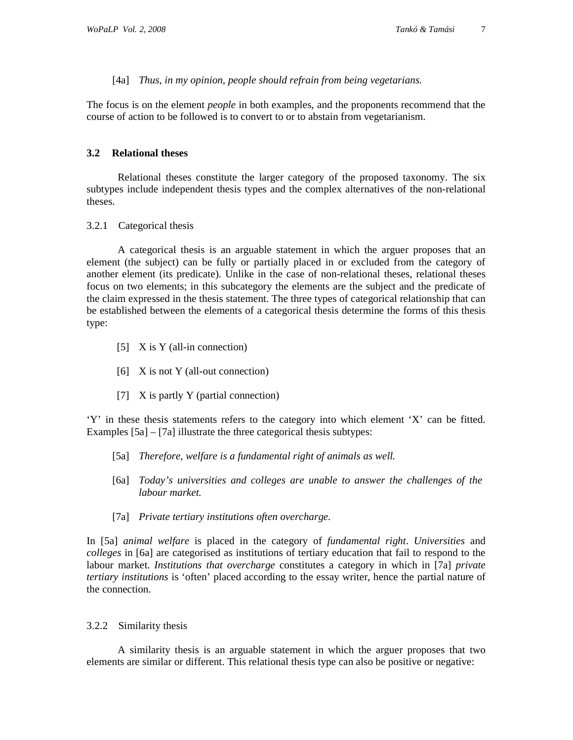#### [4a] *Thus, in my opinion, people should refrain from being vegetarians.*

The focus is on the element *people* in both examples, and the proponents recommend that the course of action to be followed is to convert to or to abstain from vegetarianism.

#### **3.2 Relational theses**

 Relational theses constitute the larger category of the proposed taxonomy. The six subtypes include independent thesis types and the complex alternatives of the non-relational theses.

#### 3.2.1 Categorical thesis

 A categorical thesis is an arguable statement in which the arguer proposes that an element (the subject) can be fully or partially placed in or excluded from the category of another element (its predicate). Unlike in the case of non-relational theses, relational theses focus on two elements; in this subcategory the elements are the subject and the predicate of the claim expressed in the thesis statement. The three types of categorical relationship that can be established between the elements of a categorical thesis determine the forms of this thesis type:

- [5] X is Y (all-in connection)
- [6] X is not Y (all-out connection)
- [7] X is partly Y (partial connection)

'Y' in these thesis statements refers to the category into which element 'X' can be fitted. Examples [5a] – [7a] illustrate the three categorical thesis subtypes:

- [5a] *Therefore, welfare is a fundamental right of animals as well.*
- [6a] *Today's universities and colleges are unable to answer the challenges of the labour market.*
- [7a] *Private tertiary institutions often overcharge.*

In [5a] *animal welfare* is placed in the category of *fundamental right*. *Universities* and *colleges* in [6a] are categorised as institutions of tertiary education that fail to respond to the labour market. *Institutions that overcharge* constitutes a category in which in [7a] *private tertiary institutions* is 'often' placed according to the essay writer, hence the partial nature of the connection.

### 3.2.2 Similarity thesis

 A similarity thesis is an arguable statement in which the arguer proposes that two elements are similar or different. This relational thesis type can also be positive or negative: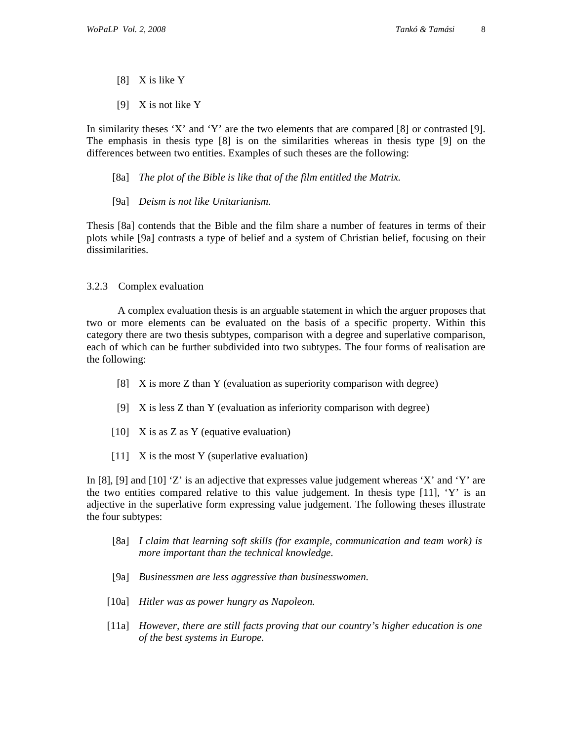- [8] X is like Y
- [9] X is not like Y

In similarity theses 'X' and 'Y' are the two elements that are compared [8] or contrasted [9]. The emphasis in thesis type [8] is on the similarities whereas in thesis type [9] on the differences between two entities. Examples of such theses are the following:

- [8a] *The plot of the Bible is like that of the film entitled the Matrix.*
- [9a] *Deism is not like Unitarianism.*

Thesis [8a] contends that the Bible and the film share a number of features in terms of their plots while [9a] contrasts a type of belief and a system of Christian belief, focusing on their dissimilarities.

### 3.2.3 Complex evaluation

 A complex evaluation thesis is an arguable statement in which the arguer proposes that two or more elements can be evaluated on the basis of a specific property. Within this category there are two thesis subtypes, comparison with a degree and superlative comparison, each of which can be further subdivided into two subtypes. The four forms of realisation are the following:

- [8] X is more Z than Y (evaluation as superiority comparison with degree)
- [9] X is less Z than Y (evaluation as inferiority comparison with degree)
- [10] X is as Z as Y (equative evaluation)
- [11] X is the most Y (superlative evaluation)

In  $[8]$ ,  $[9]$  and  $[10]$  'Z' is an adjective that expresses value judgement whereas 'X' and 'Y' are the two entities compared relative to this value judgement. In thesis type  $[11]$ , 'Y' is an adjective in the superlative form expressing value judgement. The following theses illustrate the four subtypes:

- [8a] *I claim that learning soft skills (for example, communication and team work) is more important than the technical knowledge.*
- [9a] *Businessmen are less aggressive than businesswomen.*
- [10a] *Hitler was as power hungry as Napoleon.*
- [11a] *However, there are still facts proving that our country's higher education is one of the best systems in Europe.*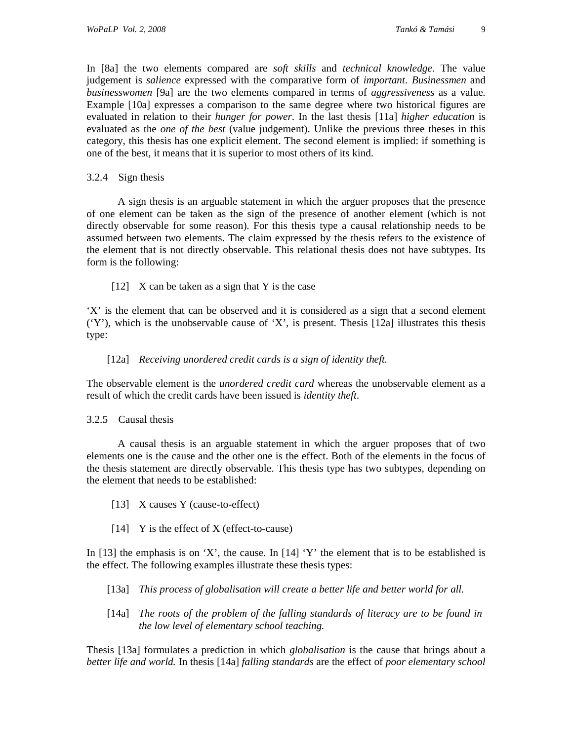In [8a] the two elements compared are *soft skills* and *technical knowledge*. The value judgement is *salience* expressed with the comparative form of *important*. *Businessmen* and *businesswomen* [9a] are the two elements compared in terms of *aggressiveness* as a value. Example [10a] expresses a comparison to the same degree where two historical figures are evaluated in relation to their *hunger for power*. In the last thesis [11a] *higher education* is evaluated as the *one of the best* (value judgement). Unlike the previous three theses in this category, this thesis has one explicit element. The second element is implied: if something is one of the best, it means that it is superior to most others of its kind.

### 3.2.4 Sign thesis

 A sign thesis is an arguable statement in which the arguer proposes that the presence of one element can be taken as the sign of the presence of another element (which is not directly observable for some reason). For this thesis type a causal relationship needs to be assumed between two elements. The claim expressed by the thesis refers to the existence of the element that is not directly observable. This relational thesis does not have subtypes. Its form is the following:

[12] X can be taken as a sign that Y is the case

'X' is the element that can be observed and it is considered as a sign that a second element ('Y'), which is the unobservable cause of 'X', is present. Thesis [12a] illustrates this thesis type:

### [12a] *Receiving unordered credit cards is a sign of identity theft.*

The observable element is the *unordered credit card* whereas the unobservable element as a result of which the credit cards have been issued is *identity theft*.

### 3.2.5 Causal thesis

 A causal thesis is an arguable statement in which the arguer proposes that of two elements one is the cause and the other one is the effect. Both of the elements in the focus of the thesis statement are directly observable. This thesis type has two subtypes, depending on the element that needs to be established:

- [13] X causes Y (cause-to-effect)
- [14] Y is the effect of X (effect-to-cause)

In [13] the emphasis is on 'X', the cause. In [14] 'Y' the element that is to be established is the effect. The following examples illustrate these thesis types:

- [13a] *This process of globalisation will create a better life and better world for all.*
- [14a] *The roots of the problem of the falling standards of literacy are to be found in the low level of elementary school teaching.*

Thesis [13a] formulates a prediction in which *globalisation* is the cause that brings about a *better life and world.* In thesis [14a] *falling standards* are the effect of *poor elementary school*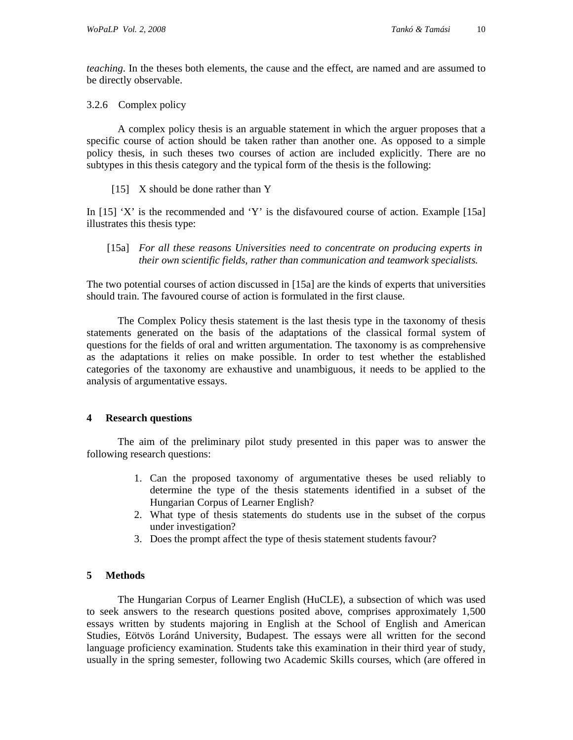*teaching*. In the theses both elements, the cause and the effect, are named and are assumed to be directly observable.

3.2.6 Complex policy

 A complex policy thesis is an arguable statement in which the arguer proposes that a specific course of action should be taken rather than another one. As opposed to a simple policy thesis, in such theses two courses of action are included explicitly. There are no subtypes in this thesis category and the typical form of the thesis is the following:

[15] X should be done rather than Y

In  $[15]$  'X' is the recommended and 'Y' is the disfavoured course of action. Example  $[15a]$ illustrates this thesis type:

[15a] *For all these reasons Universities need to concentrate on producing experts in their own scientific fields, rather than communication and teamwork specialists.* 

The two potential courses of action discussed in [15a] are the kinds of experts that universities should train. The favoured course of action is formulated in the first clause.

 The Complex Policy thesis statement is the last thesis type in the taxonomy of thesis statements generated on the basis of the adaptations of the classical formal system of questions for the fields of oral and written argumentation. The taxonomy is as comprehensive as the adaptations it relies on make possible. In order to test whether the established categories of the taxonomy are exhaustive and unambiguous, it needs to be applied to the analysis of argumentative essays.

# **4 Research questions**

The aim of the preliminary pilot study presented in this paper was to answer the following research questions:

- 1. Can the proposed taxonomy of argumentative theses be used reliably to determine the type of the thesis statements identified in a subset of the Hungarian Corpus of Learner English?
- 2. What type of thesis statements do students use in the subset of the corpus under investigation?
- 3. Does the prompt affect the type of thesis statement students favour?

# **5 Methods**

The Hungarian Corpus of Learner English (HuCLE), a subsection of which was used to seek answers to the research questions posited above, comprises approximately 1,500 essays written by students majoring in English at the School of English and American Studies, Eötvös Loránd University, Budapest. The essays were all written for the second language proficiency examination. Students take this examination in their third year of study, usually in the spring semester, following two Academic Skills courses, which (are offered in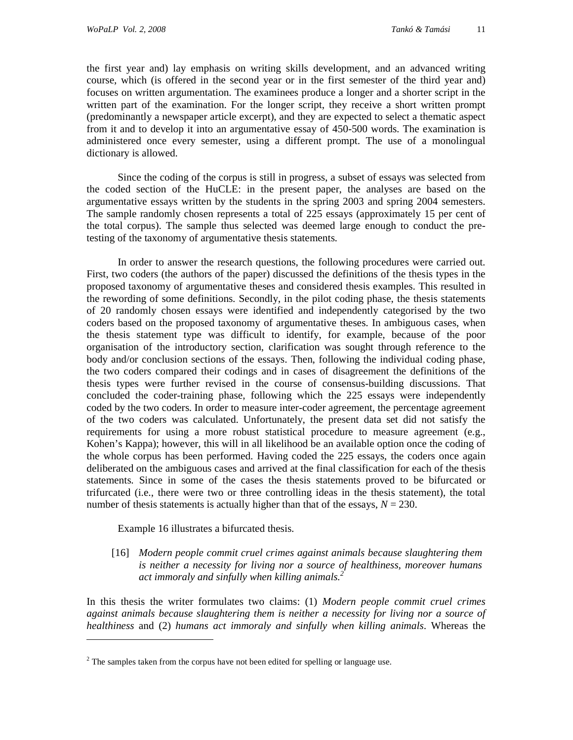the first year and) lay emphasis on writing skills development, and an advanced writing course, which (is offered in the second year or in the first semester of the third year and) focuses on written argumentation. The examinees produce a longer and a shorter script in the written part of the examination. For the longer script, they receive a short written prompt (predominantly a newspaper article excerpt), and they are expected to select a thematic aspect from it and to develop it into an argumentative essay of 450-500 words. The examination is administered once every semester, using a different prompt. The use of a monolingual dictionary is allowed.

 Since the coding of the corpus is still in progress, a subset of essays was selected from the coded section of the HuCLE: in the present paper, the analyses are based on the argumentative essays written by the students in the spring 2003 and spring 2004 semesters. The sample randomly chosen represents a total of 225 essays (approximately 15 per cent of the total corpus). The sample thus selected was deemed large enough to conduct the pretesting of the taxonomy of argumentative thesis statements.

 In order to answer the research questions, the following procedures were carried out. First, two coders (the authors of the paper) discussed the definitions of the thesis types in the proposed taxonomy of argumentative theses and considered thesis examples. This resulted in the rewording of some definitions. Secondly, in the pilot coding phase, the thesis statements of 20 randomly chosen essays were identified and independently categorised by the two coders based on the proposed taxonomy of argumentative theses. In ambiguous cases, when the thesis statement type was difficult to identify, for example, because of the poor organisation of the introductory section, clarification was sought through reference to the body and/or conclusion sections of the essays. Then, following the individual coding phase, the two coders compared their codings and in cases of disagreement the definitions of the thesis types were further revised in the course of consensus-building discussions. That concluded the coder-training phase, following which the 225 essays were independently coded by the two coders. In order to measure inter-coder agreement, the percentage agreement of the two coders was calculated. Unfortunately, the present data set did not satisfy the requirements for using a more robust statistical procedure to measure agreement (e.g., Kohen's Kappa); however, this will in all likelihood be an available option once the coding of the whole corpus has been performed. Having coded the 225 essays, the coders once again deliberated on the ambiguous cases and arrived at the final classification for each of the thesis statements. Since in some of the cases the thesis statements proved to be bifurcated or trifurcated (i.e., there were two or three controlling ideas in the thesis statement), the total number of thesis statements is actually higher than that of the essays,  $N = 230$ .

Example 16 illustrates a bifurcated thesis.

 $\overline{a}$ 

[16] *Modern people commit cruel crimes against animals because slaughtering them is neither a necessity for living nor a source of healthiness, moreover humans act immoraly and sinfully when killing animals.<sup>2</sup>*

In this thesis the writer formulates two claims: (1) *Modern people commit cruel crimes against animals because slaughtering them is neither a necessity for living nor a source of healthiness* and (2) *humans act immoraly and sinfully when killing animals*. Whereas the

 $2^2$  The samples taken from the corpus have not been edited for spelling or language use.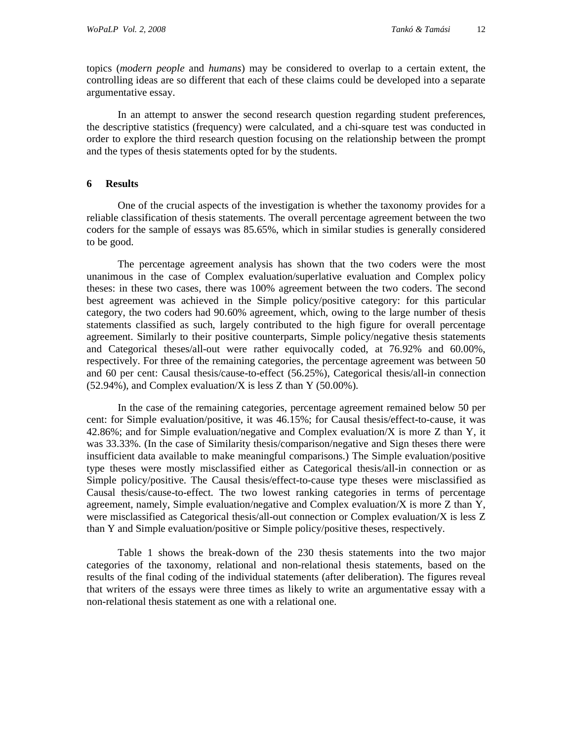topics (*modern people* and *humans*) may be considered to overlap to a certain extent, the controlling ideas are so different that each of these claims could be developed into a separate argumentative essay.

 In an attempt to answer the second research question regarding student preferences, the descriptive statistics (frequency) were calculated, and a chi-square test was conducted in order to explore the third research question focusing on the relationship between the prompt and the types of thesis statements opted for by the students.

#### **6 Results**

One of the crucial aspects of the investigation is whether the taxonomy provides for a reliable classification of thesis statements. The overall percentage agreement between the two coders for the sample of essays was 85.65%, which in similar studies is generally considered to be good.

 The percentage agreement analysis has shown that the two coders were the most unanimous in the case of Complex evaluation/superlative evaluation and Complex policy theses: in these two cases, there was 100% agreement between the two coders. The second best agreement was achieved in the Simple policy/positive category: for this particular category, the two coders had 90.60% agreement, which, owing to the large number of thesis statements classified as such, largely contributed to the high figure for overall percentage agreement. Similarly to their positive counterparts, Simple policy/negative thesis statements and Categorical theses/all-out were rather equivocally coded, at 76.92% and 60.00%, respectively. For three of the remaining categories, the percentage agreement was between 50 and 60 per cent: Causal thesis/cause-to-effect (56.25%), Categorical thesis/all-in connection (52.94%), and Complex evaluation/X is less Z than Y (50.00%).

 In the case of the remaining categories, percentage agreement remained below 50 per cent: for Simple evaluation/positive, it was 46.15%; for Causal thesis/effect-to-cause, it was 42.86%; and for Simple evaluation/negative and Complex evaluation/X is more Z than Y, it was 33.33%. (In the case of Similarity thesis/comparison/negative and Sign theses there were insufficient data available to make meaningful comparisons.) The Simple evaluation/positive type theses were mostly misclassified either as Categorical thesis/all-in connection or as Simple policy/positive. The Causal thesis/effect-to-cause type theses were misclassified as Causal thesis/cause-to-effect. The two lowest ranking categories in terms of percentage agreement, namely, Simple evaluation/negative and Complex evaluation/ $X$  is more  $Z$  than  $Y$ , were misclassified as Categorical thesis/all-out connection or Complex evaluation/X is less Z than Y and Simple evaluation/positive or Simple policy/positive theses, respectively.

 Table 1 shows the break-down of the 230 thesis statements into the two major categories of the taxonomy, relational and non-relational thesis statements, based on the results of the final coding of the individual statements (after deliberation). The figures reveal that writers of the essays were three times as likely to write an argumentative essay with a non-relational thesis statement as one with a relational one.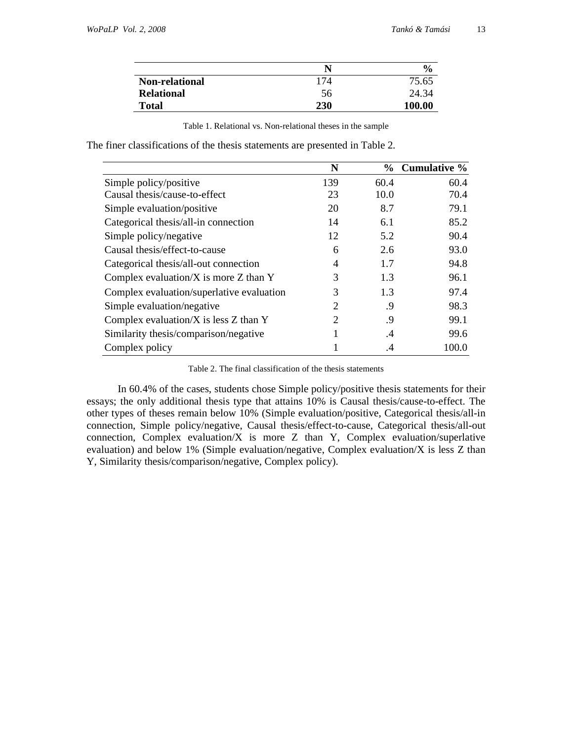|                       |     | $\frac{6}{10}$ |
|-----------------------|-----|----------------|
| <b>Non-relational</b> | 174 | 75.65          |
| <b>Relational</b>     | 56  | 24.34          |
| <b>Total</b>          | 230 | <b>100.00</b>  |

| Table 1. Relational vs. Non-relational theses in the sample |
|-------------------------------------------------------------|
|-------------------------------------------------------------|

The finer classifications of the thesis statements are presented in Table 2.

|                                              | N   | $\%$      | Cumulative % |
|----------------------------------------------|-----|-----------|--------------|
| Simple policy/positive                       | 139 | 60.4      | 60.4         |
| Causal thesis/cause-to-effect                | 23  | 10.0      | 70.4         |
| Simple evaluation/positive                   | 20  | 8.7       | 79.1         |
| Categorical thesis/all-in connection         | 14  | 6.1       | 85.2         |
| Simple policy/negative                       | 12  | 5.2       | 90.4         |
| Causal thesis/effect-to-cause                | 6   | 2.6       | 93.0         |
| Categorical thesis/all-out connection        | 4   | 1.7       | 94.8         |
| Complex evaluation/ $X$ is more $Z$ than $Y$ | 3   | 1.3       | 96.1         |
| Complex evaluation/superlative evaluation    | 3   | 1.3       | 97.4         |
| Simple evaluation/negative                   | 2   | .9        | 98.3         |
| Complex evaluation/X is less Z than Y        | 2   | .9        | 99.1         |
| Similarity thesis/comparison/negative        |     | $\cdot$ 4 | 99.6         |
| Complex policy                               |     | $\cdot$ 4 | 100.0        |

Table 2. The final classification of the thesis statements

 In 60.4% of the cases, students chose Simple policy/positive thesis statements for their essays; the only additional thesis type that attains 10% is Causal thesis/cause-to-effect. The other types of theses remain below 10% (Simple evaluation/positive, Categorical thesis/all-in connection, Simple policy/negative, Causal thesis/effect-to-cause, Categorical thesis/all-out connection, Complex evaluation/X is more Z than Y, Complex evaluation/superlative evaluation) and below 1% (Simple evaluation/negative, Complex evaluation/X is less Z than Y, Similarity thesis/comparison/negative, Complex policy).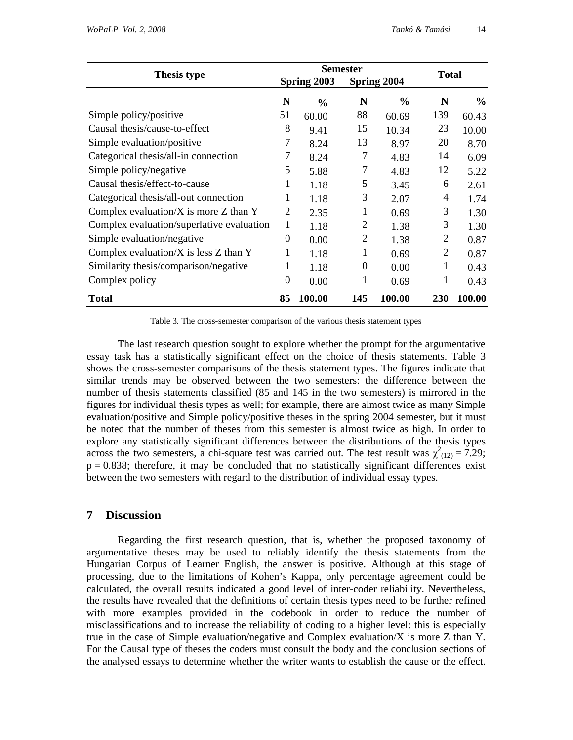| <b>Thesis type</b>                           |                | <b>Semester</b> |                |               |              |               |
|----------------------------------------------|----------------|-----------------|----------------|---------------|--------------|---------------|
|                                              |                | Spring 2003     | Spring 2004    |               | <b>Total</b> |               |
|                                              | N              | $\frac{0}{0}$   | N              | $\frac{6}{9}$ | N            | $\frac{0}{0}$ |
| Simple policy/positive                       | 51             | 60.00           | 88             | 60.69         | 139          | 60.43         |
| Causal thesis/cause-to-effect                | 8              | 9.41            | 15             | 10.34         | 23           | 10.00         |
| Simple evaluation/positive                   | 7              | 8.24            | 13             | 8.97          | 20           | 8.70          |
| Categorical thesis/all-in connection         | 7              | 8.24            | 7              | 4.83          | 14           | 6.09          |
| Simple policy/negative                       | 5              | 5.88            | 7              | 4.83          | 12           | 5.22          |
| Causal thesis/effect-to-cause                | 1              | 1.18            | 5              | 3.45          | 6            | 2.61          |
| Categorical thesis/all-out connection        | 1              | 1.18            | 3              | 2.07          | 4            | 1.74          |
| Complex evaluation/ $X$ is more $Z$ than $Y$ | 2              | 2.35            | 1              | 0.69          | 3            | 1.30          |
| Complex evaluation/superlative evaluation    | 1              | 1.18            | $\overline{2}$ | 1.38          | 3            | 1.30          |
| Simple evaluation/negative                   | $\Omega$       | 0.00            | 2              | 1.38          | 2            | 0.87          |
| Complex evaluation/ $X$ is less $Z$ than $Y$ | 1              | 1.18            | 1              | 0.69          | 2            | 0.87          |
| Similarity thesis/comparison/negative        | 1              | 1.18            | $\Omega$       | 0.00          | 1            | 0.43          |
| Complex policy                               | $\overline{0}$ | 0.00            | 1              | 0.69          | 1            | 0.43          |
| <b>Total</b>                                 | 85             | 100.00          | 145            | 100.00        | 230          | 100.00        |

Table 3. The cross-semester comparison of the various thesis statement types

 The last research question sought to explore whether the prompt for the argumentative essay task has a statistically significant effect on the choice of thesis statements. Table 3 shows the cross-semester comparisons of the thesis statement types. The figures indicate that similar trends may be observed between the two semesters: the difference between the number of thesis statements classified (85 and 145 in the two semesters) is mirrored in the figures for individual thesis types as well; for example, there are almost twice as many Simple evaluation/positive and Simple policy/positive theses in the spring 2004 semester, but it must be noted that the number of theses from this semester is almost twice as high. In order to explore any statistically significant differences between the distributions of the thesis types across the two semesters, a chi-square test was carried out. The test result was  $\chi^2_{(12)} = 7.29$ ;  $p = 0.838$ ; therefore, it may be concluded that no statistically significant differences exist between the two semesters with regard to the distribution of individual essay types.

# **7 Discussion**

Regarding the first research question, that is, whether the proposed taxonomy of argumentative theses may be used to reliably identify the thesis statements from the Hungarian Corpus of Learner English, the answer is positive. Although at this stage of processing, due to the limitations of Kohen's Kappa, only percentage agreement could be calculated, the overall results indicated a good level of inter-coder reliability. Nevertheless, the results have revealed that the definitions of certain thesis types need to be further refined with more examples provided in the codebook in order to reduce the number of misclassifications and to increase the reliability of coding to a higher level: this is especially true in the case of Simple evaluation/negative and Complex evaluation/X is more Z than Y. For the Causal type of theses the coders must consult the body and the conclusion sections of the analysed essays to determine whether the writer wants to establish the cause or the effect.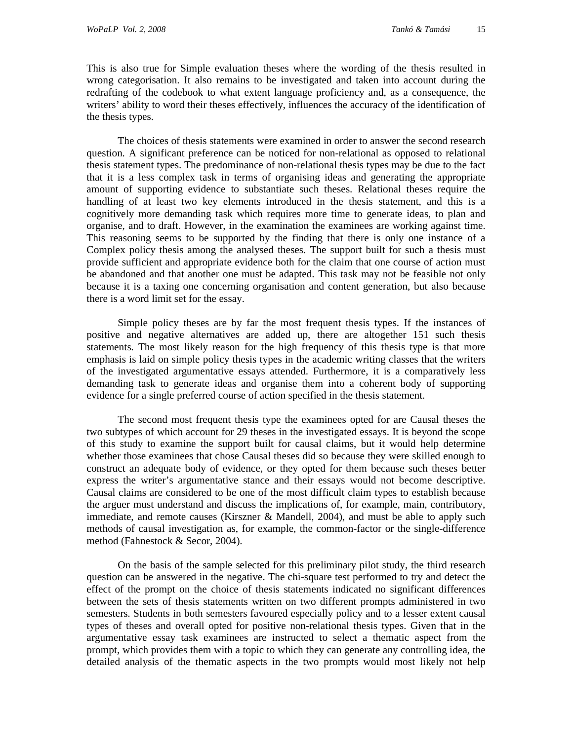This is also true for Simple evaluation theses where the wording of the thesis resulted in wrong categorisation. It also remains to be investigated and taken into account during the redrafting of the codebook to what extent language proficiency and, as a consequence, the writers' ability to word their theses effectively, influences the accuracy of the identification of the thesis types.

 The choices of thesis statements were examined in order to answer the second research question. A significant preference can be noticed for non-relational as opposed to relational thesis statement types. The predominance of non-relational thesis types may be due to the fact that it is a less complex task in terms of organising ideas and generating the appropriate amount of supporting evidence to substantiate such theses. Relational theses require the handling of at least two key elements introduced in the thesis statement, and this is a cognitively more demanding task which requires more time to generate ideas, to plan and organise, and to draft. However, in the examination the examinees are working against time. This reasoning seems to be supported by the finding that there is only one instance of a Complex policy thesis among the analysed theses. The support built for such a thesis must provide sufficient and appropriate evidence both for the claim that one course of action must be abandoned and that another one must be adapted. This task may not be feasible not only because it is a taxing one concerning organisation and content generation, but also because there is a word limit set for the essay.

Simple policy theses are by far the most frequent thesis types. If the instances of positive and negative alternatives are added up, there are altogether 151 such thesis statements. The most likely reason for the high frequency of this thesis type is that more emphasis is laid on simple policy thesis types in the academic writing classes that the writers of the investigated argumentative essays attended. Furthermore, it is a comparatively less demanding task to generate ideas and organise them into a coherent body of supporting evidence for a single preferred course of action specified in the thesis statement.

The second most frequent thesis type the examinees opted for are Causal theses the two subtypes of which account for 29 theses in the investigated essays. It is beyond the scope of this study to examine the support built for causal claims, but it would help determine whether those examinees that chose Causal theses did so because they were skilled enough to construct an adequate body of evidence, or they opted for them because such theses better express the writer's argumentative stance and their essays would not become descriptive. Causal claims are considered to be one of the most difficult claim types to establish because the arguer must understand and discuss the implications of, for example, main, contributory, immediate, and remote causes (Kirszner & Mandell, 2004), and must be able to apply such methods of causal investigation as, for example, the common-factor or the single-difference method (Fahnestock & Secor, 2004).

 On the basis of the sample selected for this preliminary pilot study, the third research question can be answered in the negative. The chi-square test performed to try and detect the effect of the prompt on the choice of thesis statements indicated no significant differences between the sets of thesis statements written on two different prompts administered in two semesters. Students in both semesters favoured especially policy and to a lesser extent causal types of theses and overall opted for positive non-relational thesis types. Given that in the argumentative essay task examinees are instructed to select a thematic aspect from the prompt, which provides them with a topic to which they can generate any controlling idea, the detailed analysis of the thematic aspects in the two prompts would most likely not help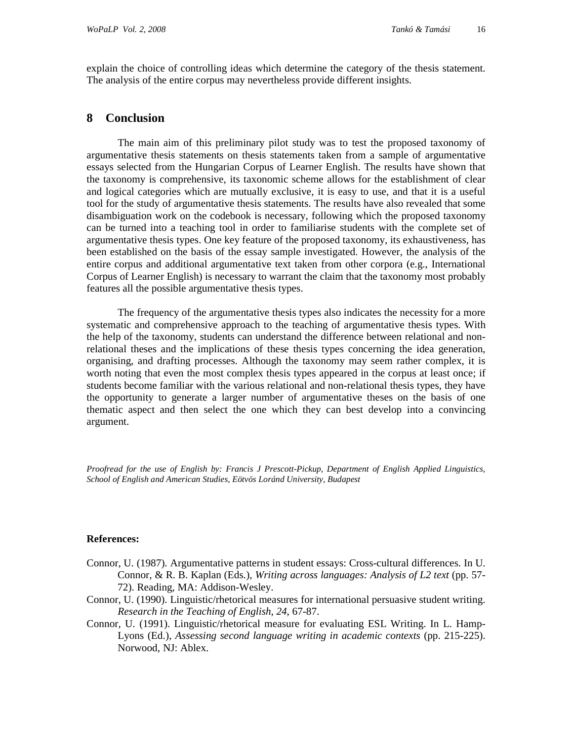explain the choice of controlling ideas which determine the category of the thesis statement. The analysis of the entire corpus may nevertheless provide different insights.

### **8 Conclusion**

The main aim of this preliminary pilot study was to test the proposed taxonomy of argumentative thesis statements on thesis statements taken from a sample of argumentative essays selected from the Hungarian Corpus of Learner English. The results have shown that the taxonomy is comprehensive, its taxonomic scheme allows for the establishment of clear and logical categories which are mutually exclusive, it is easy to use, and that it is a useful tool for the study of argumentative thesis statements. The results have also revealed that some disambiguation work on the codebook is necessary, following which the proposed taxonomy can be turned into a teaching tool in order to familiarise students with the complete set of argumentative thesis types. One key feature of the proposed taxonomy, its exhaustiveness, has been established on the basis of the essay sample investigated. However, the analysis of the entire corpus and additional argumentative text taken from other corpora (e.g., International Corpus of Learner English) is necessary to warrant the claim that the taxonomy most probably features all the possible argumentative thesis types.

 The frequency of the argumentative thesis types also indicates the necessity for a more systematic and comprehensive approach to the teaching of argumentative thesis types. With the help of the taxonomy, students can understand the difference between relational and nonrelational theses and the implications of these thesis types concerning the idea generation, organising, and drafting processes. Although the taxonomy may seem rather complex, it is worth noting that even the most complex thesis types appeared in the corpus at least once; if students become familiar with the various relational and non-relational thesis types, they have the opportunity to generate a larger number of argumentative theses on the basis of one thematic aspect and then select the one which they can best develop into a convincing argument.

*Proofread for the use of English by: Francis J Prescott-Pickup, Department of English Applied Linguistics, School of English and American Studies, Eötvös Loránd University, Budapest* 

### **References:**

- Connor, U. (1987). Argumentative patterns in student essays: Cross-cultural differences. In U. Connor, & R. B. Kaplan (Eds.), *Writing across languages: Analysis of L2 text* (pp. 57- 72). Reading, MA: Addison-Wesley.
- Connor, U. (1990). Linguistic/rhetorical measures for international persuasive student writing. *Research in the Teaching of English*, *24*, 67-87.
- Connor, U. (1991). Linguistic/rhetorical measure for evaluating ESL Writing. In L. Hamp-Lyons (Ed.), *Assessing second language writing in academic contexts* (pp. 215-225). Norwood, NJ: Ablex.